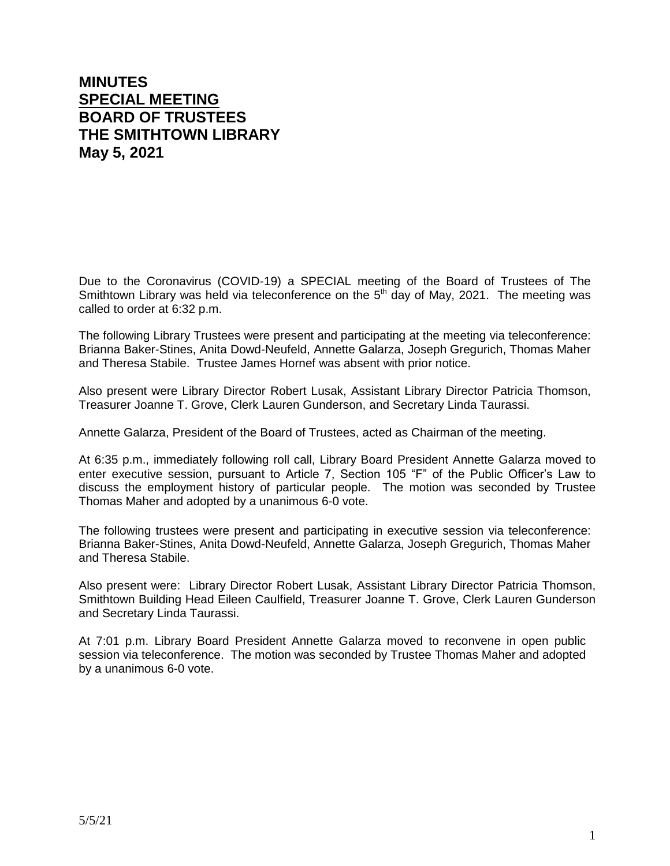## **MINUTES SPECIAL MEETING BOARD OF TRUSTEES THE SMITHTOWN LIBRARY May 5, 2021**

Due to the Coronavirus (COVID-19) a SPECIAL meeting of the Board of Trustees of The Smithtown Library was held via teleconference on the  $5<sup>th</sup>$  day of May, 2021. The meeting was called to order at 6:32 p.m.

The following Library Trustees were present and participating at the meeting via teleconference: Brianna Baker-Stines, Anita Dowd-Neufeld, Annette Galarza, Joseph Gregurich, Thomas Maher and Theresa Stabile. Trustee James Hornef was absent with prior notice.

Also present were Library Director Robert Lusak, Assistant Library Director Patricia Thomson, Treasurer Joanne T. Grove, Clerk Lauren Gunderson, and Secretary Linda Taurassi.

Annette Galarza, President of the Board of Trustees, acted as Chairman of the meeting.

At 6:35 p.m., immediately following roll call, Library Board President Annette Galarza moved to enter executive session, pursuant to Article 7, Section 105 "F" of the Public Officer's Law to discuss the employment history of particular people. The motion was seconded by Trustee Thomas Maher and adopted by a unanimous 6-0 vote.

The following trustees were present and participating in executive session via teleconference: Brianna Baker-Stines, Anita Dowd-Neufeld, Annette Galarza, Joseph Gregurich, Thomas Maher and Theresa Stabile.

Also present were: Library Director Robert Lusak, Assistant Library Director Patricia Thomson, Smithtown Building Head Eileen Caulfield, Treasurer Joanne T. Grove, Clerk Lauren Gunderson and Secretary Linda Taurassi.

At 7:01 p.m. Library Board President Annette Galarza moved to reconvene in open public session via teleconference. The motion was seconded by Trustee Thomas Maher and adopted by a unanimous 6-0 vote.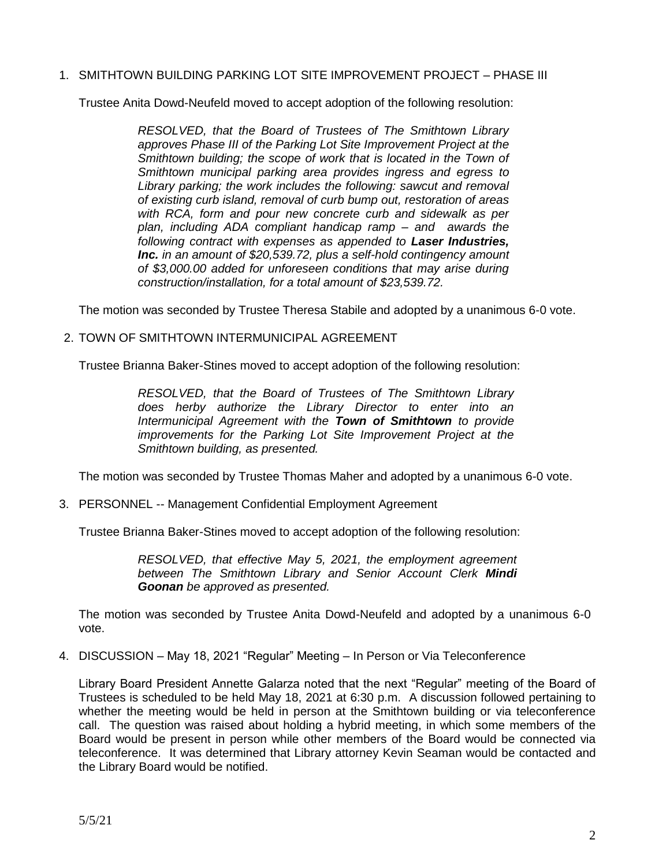1. SMITHTOWN BUILDING PARKING LOT SITE IMPROVEMENT PROJECT – PHASE III

Trustee Anita Dowd-Neufeld moved to accept adoption of the following resolution:

*RESOLVED, that the Board of Trustees of The Smithtown Library approves Phase III of the Parking Lot Site Improvement Project at the Smithtown building; the scope of work that is located in the Town of Smithtown municipal parking area provides ingress and egress to Library parking; the work includes the following: sawcut and removal of existing curb island, removal of curb bump out, restoration of areas with RCA, form and pour new concrete curb and sidewalk as per plan, including ADA compliant handicap ramp – and awards the following contract with expenses as appended to Laser Industries, Inc. in an amount of \$20,539.72, plus a self-hold contingency amount of \$3,000.00 added for unforeseen conditions that may arise during construction/installation, for a total amount of \$23,539.72.*

The motion was seconded by Trustee Theresa Stabile and adopted by a unanimous 6-0 vote.

2. TOWN OF SMITHTOWN INTERMUNICIPAL AGREEMENT

Trustee Brianna Baker-Stines moved to accept adoption of the following resolution:

*RESOLVED, that the Board of Trustees of The Smithtown Library does herby authorize the Library Director to enter into an Intermunicipal Agreement with the Town of Smithtown to provide improvements for the Parking Lot Site Improvement Project at the Smithtown building, as presented.* 

The motion was seconded by Trustee Thomas Maher and adopted by a unanimous 6-0 vote.

3. PERSONNEL -- Management Confidential Employment Agreement

Trustee Brianna Baker-Stines moved to accept adoption of the following resolution:

*RESOLVED, that effective May 5, 2021, the employment agreement between The Smithtown Library and Senior Account Clerk Mindi Goonan be approved as presented.*

The motion was seconded by Trustee Anita Dowd-Neufeld and adopted by a unanimous 6-0 vote.

4. DISCUSSION – May 18, 2021 "Regular" Meeting – In Person or Via Teleconference

Library Board President Annette Galarza noted that the next "Regular" meeting of the Board of Trustees is scheduled to be held May 18, 2021 at 6:30 p.m. A discussion followed pertaining to whether the meeting would be held in person at the Smithtown building or via teleconference call. The question was raised about holding a hybrid meeting, in which some members of the Board would be present in person while other members of the Board would be connected via teleconference. It was determined that Library attorney Kevin Seaman would be contacted and the Library Board would be notified.